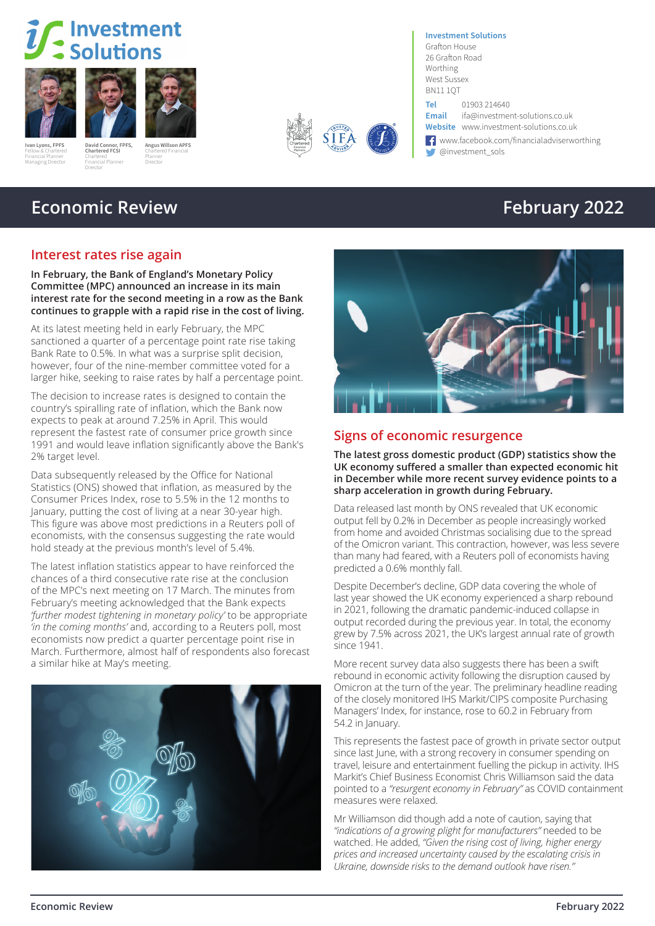# Investment Solutions





Fellow & Chartered Financial Planner Managing Director

**David Connor, FPFS, Angus Willson APFS** Chartered Financial Planner Director







BN11 1QT **Tel** 01903 214640<br>**Email** ifa@investme **Email** ifa@investment-solutions.co.uk **Website** www.investment-solutions.co.uk

**Investment Solutions** Grafton House 26 Grafton Road Worthing West Sussex

← www.facebook.com/financialadviserworthing<br>← @investment\_sols **Ivan Lyons, FPFS** David Connor, FPFS, Angus Willson APFS<br>Felix Construction of Construction Charles Construction of the Construction of the Construction of the Construction of the Construction of the Construction of the C

# **Economic Review February 2022**

**Chartered FCSI** Chartered Financial Planner Director

### **Interest rates rise again**

**In February, the Bank of England's Monetary Policy Committee (MPC) announced an increase in its main interest rate for the second meeting in a row as the Bank continues to grapple with a rapid rise in the cost of living.**

At its latest meeting held in early February, the MPC sanctioned a quarter of a percentage point rate rise taking Bank Rate to 0.5%. In what was a surprise split decision, however, four of the nine-member committee voted for a larger hike, seeking to raise rates by half a percentage point.

The decision to increase rates is designed to contain the country's spiralling rate of inflation, which the Bank now expects to peak at around 7.25% in April. This would represent the fastest rate of consumer price growth since 1991 and would leave inflation significantly above the Bank's 2% target level.

Data subsequently released by the Office for National Statistics (ONS) showed that inflation, as measured by the Consumer Prices Index, rose to 5.5% in the 12 months to January, putting the cost of living at a near 30-year high. This figure was above most predictions in a Reuters poll of economists, with the consensus suggesting the rate would hold steady at the previous month's level of 5.4%.

The latest inflation statistics appear to have reinforced the chances of a third consecutive rate rise at the conclusion of the MPC's next meeting on 17 March. The minutes from February's meeting acknowledged that the Bank expects *'further modest tightening in monetary policy'* to be appropriate *'in the coming months'* and, according to a Reuters poll, most economists now predict a quarter percentage point rise in March. Furthermore, almost half of respondents also forecast a similar hike at May's meeting.





## **Signs of economic resurgence**

**The latest gross domestic product (GDP) statistics show the UK economy suffered a smaller than expected economic hit in December while more recent survey evidence points to a sharp acceleration in growth during February.**

Data released last month by ONS revealed that UK economic output fell by 0.2% in December as people increasingly worked from home and avoided Christmas socialising due to the spread of the Omicron variant. This contraction, however, was less severe than many had feared, with a Reuters poll of economists having predicted a 0.6% monthly fall.

Despite December's decline, GDP data covering the whole of last year showed the UK economy experienced a sharp rebound in 2021, following the dramatic pandemic-induced collapse in output recorded during the previous year. In total, the economy grew by 7.5% across 2021, the UK's largest annual rate of growth since 1941.

More recent survey data also suggests there has been a swift rebound in economic activity following the disruption caused by Omicron at the turn of the year. The preliminary headline reading of the closely monitored IHS Markit/CIPS composite Purchasing Managers' Index, for instance, rose to 60.2 in February from 54.2 in January.

This represents the fastest pace of growth in private sector output since last June, with a strong recovery in consumer spending on travel, leisure and entertainment fuelling the pickup in activity. IHS Markit's Chief Business Economist Chris Williamson said the data pointed to a *"resurgent economy in February"* as COVID containment measures were relaxed.

Mr Williamson did though add a note of caution, saying that *"indications of a growing plight for manufacturers"* needed to be watched. He added, *"Given the rising cost of living, higher energy prices and increased uncertainty caused by the escalating crisis in Ukraine, downside risks to the demand outlook have risen."*